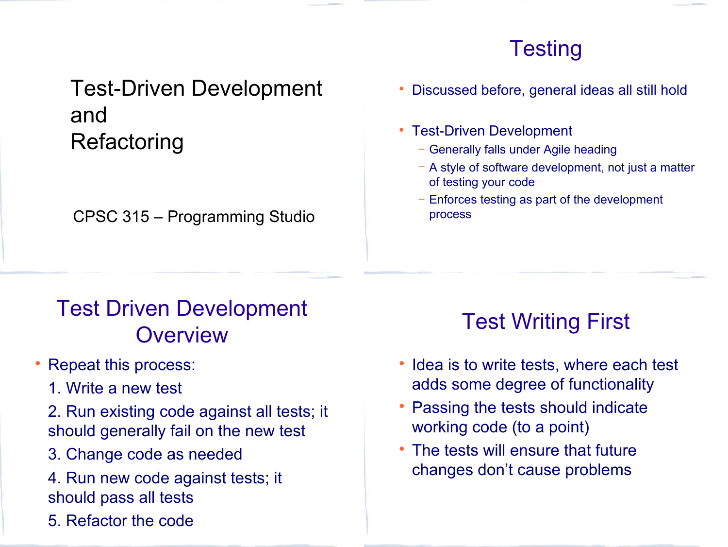## **Testing**

## Test-Driven Development and **Refactoring**

CPSC 315 – Programming Studio

#### Discussed before, general ideas all still hold

- Test-Driven Development
	- − Generally falls under Agile heading
	- − A style of software development, not just a matter of testing your code
	- Enforces testing as part of the development process

# Test Driven Development **Overview**

- Repeat this process:
	- 1. Write a new test
	- 2. Run existing code against all tests; it should generally fail on the new test
	- 3.3. Change code as needed
	- 4.4. Run new code against tests; it should pass all tests
	- 5.5. Refactor the code

# Test Writing First

- Idea is to write tests, where each test adds some degree of functionality
- Passing the tests should indicate working code (to a point)
- The tests will ensure that future changes don't cause problems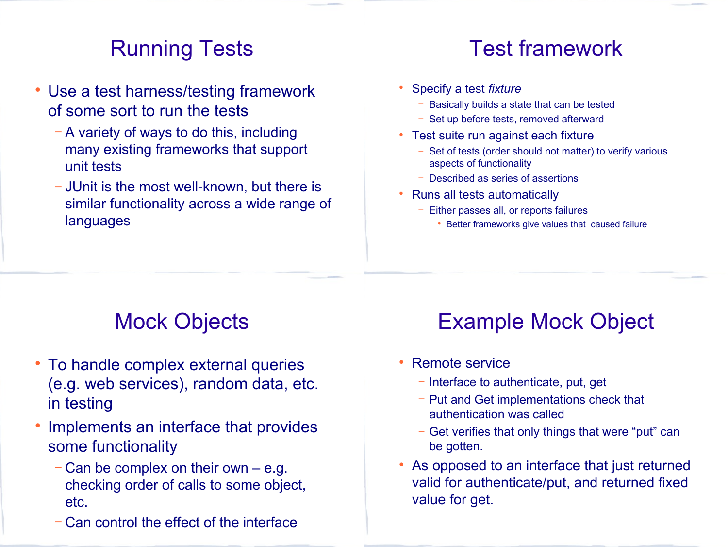## Running Tests

- Use a test harness/testing framework of some sort to run the tests
	- − A variety of ways to do this, including many existing frameworks that support unit tests
	- − JUnit is the most well-known, but there is similar functionality across a wide range of languages

### Test framework

- Specify a test *fixture*
	- Basically builds a state that can be tested
	- − Set up before tests, removed afterward
- Test suite run against each fixture
	- Set of tests (order should not matter) to verify various aspects of functionality
	- − Described as series of assertions
- Runs all tests automatically
	- − Either passes all, or reports failures
		- Better frameworks give values that caused failure

## Mock Objects

- To handle complex external queries (e.g. web services), random data, etc. in testing
- Implements an interface that provides some functionality
	- − Can be complex on their own e.g. checking order of calls to some object, etc.
	- − Can control the effect of the interface

# Example Mock Object

- Remote service
	- − Interface to authenticate, put, get
	- − Put and Get implementations check that authentication was called
	- − Get verifies that only things that were "put" can be gotten.
- As opposed to an interface that just returned valid for authenticate/put, and returned fixed value for get.